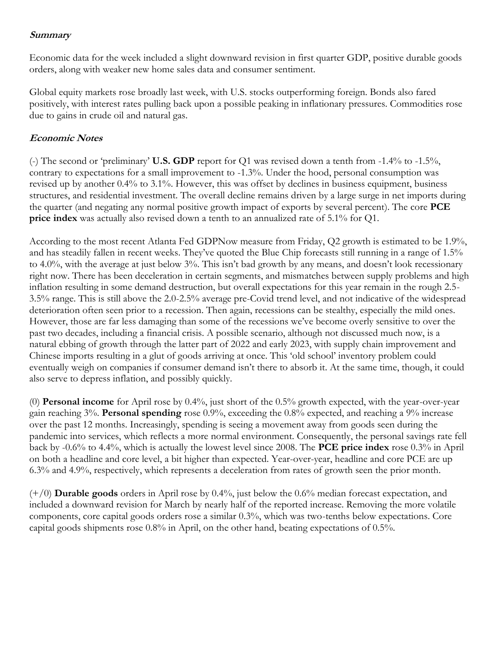## **Summary**

Economic data for the week included a slight downward revision in first quarter GDP, positive durable goods orders, along with weaker new home sales data and consumer sentiment.

Global equity markets rose broadly last week, with U.S. stocks outperforming foreign. Bonds also fared positively, with interest rates pulling back upon a possible peaking in inflationary pressures. Commodities rose due to gains in crude oil and natural gas.

## **Economic Notes**

(-) The second or 'preliminary' **U.S. GDP** report for Q1 was revised down a tenth from -1.4% to -1.5%, contrary to expectations for a small improvement to -1.3%. Under the hood, personal consumption was revised up by another 0.4% to 3.1%. However, this was offset by declines in business equipment, business structures, and residential investment. The overall decline remains driven by a large surge in net imports during the quarter (and negating any normal positive growth impact of exports by several percent). The core **PCE price index** was actually also revised down a tenth to an annualized rate of 5.1% for Q1.

According to the most recent Atlanta Fed GDPNow measure from Friday, Q2 growth is estimated to be 1.9%, and has steadily fallen in recent weeks. They've quoted the Blue Chip forecasts still running in a range of 1.5% to 4.0%, with the average at just below 3%. This isn't bad growth by any means, and doesn't look recessionary right now. There has been deceleration in certain segments, and mismatches between supply problems and high inflation resulting in some demand destruction, but overall expectations for this year remain in the rough 2.5- 3.5% range. This is still above the 2.0-2.5% average pre-Covid trend level, and not indicative of the widespread deterioration often seen prior to a recession. Then again, recessions can be stealthy, especially the mild ones. However, those are far less damaging than some of the recessions we've become overly sensitive to over the past two decades, including a financial crisis. A possible scenario, although not discussed much now, is a natural ebbing of growth through the latter part of 2022 and early 2023, with supply chain improvement and Chinese imports resulting in a glut of goods arriving at once. This 'old school' inventory problem could eventually weigh on companies if consumer demand isn't there to absorb it. At the same time, though, it could also serve to depress inflation, and possibly quickly.

(0) **Personal income** for April rose by 0.4%, just short of the 0.5% growth expected, with the year-over-year gain reaching 3%. **Personal spending** rose 0.9%, exceeding the 0.8% expected, and reaching a 9% increase over the past 12 months. Increasingly, spending is seeing a movement away from goods seen during the pandemic into services, which reflects a more normal environment. Consequently, the personal savings rate fell back by -0.6% to 4.4%, which is actually the lowest level since 2008. The **PCE price index** rose 0.3% in April on both a headline and core level, a bit higher than expected. Year-over-year, headline and core PCE are up 6.3% and 4.9%, respectively, which represents a deceleration from rates of growth seen the prior month.

(+/0) **Durable goods** orders in April rose by 0.4%, just below the 0.6% median forecast expectation, and included a downward revision for March by nearly half of the reported increase. Removing the more volatile components, core capital goods orders rose a similar 0.3%, which was two-tenths below expectations. Core capital goods shipments rose 0.8% in April, on the other hand, beating expectations of 0.5%.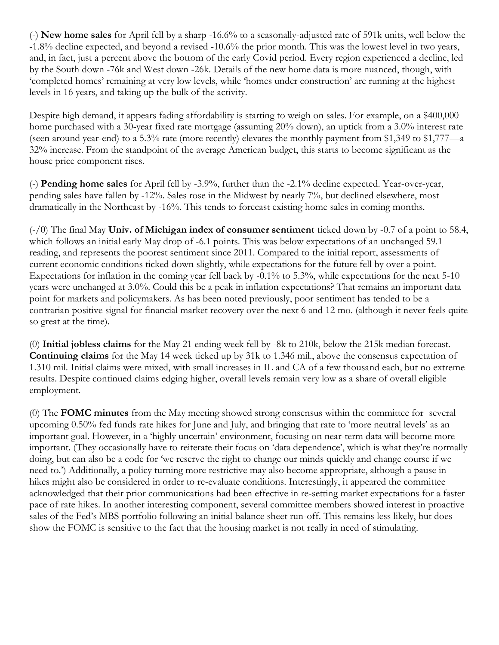(-) **New home sales** for April fell by a sharp -16.6% to a seasonally-adjusted rate of 591k units, well below the -1.8% decline expected, and beyond a revised -10.6% the prior month. This was the lowest level in two years, and, in fact, just a percent above the bottom of the early Covid period. Every region experienced a decline, led by the South down -76k and West down -26k. Details of the new home data is more nuanced, though, with 'completed homes' remaining at very low levels, while 'homes under construction' are running at the highest levels in 16 years, and taking up the bulk of the activity.

Despite high demand, it appears fading affordability is starting to weigh on sales. For example, on a \$400,000 home purchased with a 30-year fixed rate mortgage (assuming 20% down), an uptick from a 3.0% interest rate (seen around year-end) to a 5.3% rate (more recently) elevates the monthly payment from \$1,349 to \$1,777—a 32% increase. From the standpoint of the average American budget, this starts to become significant as the house price component rises.

(-) **Pending home sales** for April fell by -3.9%, further than the -2.1% decline expected. Year-over-year, pending sales have fallen by -12%. Sales rose in the Midwest by nearly 7%, but declined elsewhere, most dramatically in the Northeast by -16%. This tends to forecast existing home sales in coming months.

(-/0) The final May **Univ. of Michigan index of consumer sentiment** ticked down by -0.7 of a point to 58.4, which follows an initial early May drop of -6.1 points. This was below expectations of an unchanged 59.1 reading, and represents the poorest sentiment since 2011. Compared to the initial report, assessments of current economic conditions ticked down slightly, while expectations for the future fell by over a point. Expectations for inflation in the coming year fell back by -0.1% to 5.3%, while expectations for the next 5-10 years were unchanged at 3.0%. Could this be a peak in inflation expectations? That remains an important data point for markets and policymakers. As has been noted previously, poor sentiment has tended to be a contrarian positive signal for financial market recovery over the next 6 and 12 mo. (although it never feels quite so great at the time).

(0) **Initial jobless claims** for the May 21 ending week fell by -8k to 210k, below the 215k median forecast. **Continuing claims** for the May 14 week ticked up by 31k to 1.346 mil., above the consensus expectation of 1.310 mil. Initial claims were mixed, with small increases in IL and CA of a few thousand each, but no extreme results. Despite continued claims edging higher, overall levels remain very low as a share of overall eligible employment.

(0) The **FOMC minutes** from the May meeting showed strong consensus within the committee for several upcoming 0.50% fed funds rate hikes for June and July, and bringing that rate to 'more neutral levels' as an important goal. However, in a 'highly uncertain' environment, focusing on near-term data will become more important. (They occasionally have to reiterate their focus on 'data dependence', which is what they're normally doing, but can also be a code for 'we reserve the right to change our minds quickly and change course if we need to.') Additionally, a policy turning more restrictive may also become appropriate, although a pause in hikes might also be considered in order to re-evaluate conditions. Interestingly, it appeared the committee acknowledged that their prior communications had been effective in re-setting market expectations for a faster pace of rate hikes. In another interesting component, several committee members showed interest in proactive sales of the Fed's MBS portfolio following an initial balance sheet run-off. This remains less likely, but does show the FOMC is sensitive to the fact that the housing market is not really in need of stimulating.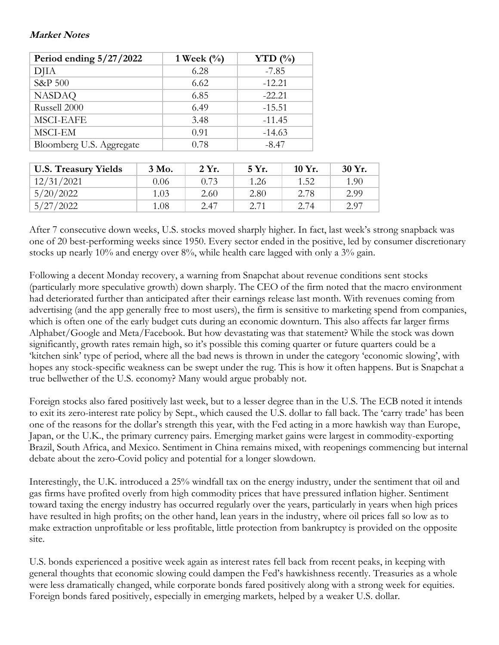## **Market Notes**

| Period ending $5/27/2022$ | 1 Week $\left(\frac{0}{0}\right)$ | YTD $(\% )$ |  |
|---------------------------|-----------------------------------|-------------|--|
| DJIA                      | 6.28                              | $-7.85$     |  |
| S&P 500                   | 6.62                              | $-12.21$    |  |
| <b>NASDAQ</b>             | 6.85                              | $-22.21$    |  |
| Russell 2000              | 6.49                              | $-15.51$    |  |
| <b>MSCI-EAFE</b>          | 3.48                              | $-11.45$    |  |
| MSCI-EM                   | 0.91                              | $-14.63$    |  |
| Bloomberg U.S. Aggregate  | 0.78                              | $-8.47$     |  |

| <b>U.S. Treasury Yields</b> | 3 Mo. | 2 Yr. | 5 Yr. | $10 Yr$ . | 30 Yr. |
|-----------------------------|-------|-------|-------|-----------|--------|
| 12/31/2021                  | 0.06  | 0.73  | 1.26  | 1.52      | 1.90   |
| 5/20/2022                   | 1.03  | 2.60  | 2.80  | 2.78      | 2.99   |
| 5/27/2022                   | 1.08  | 2.47  | 2.71  | 2.74      | 2.97   |

After 7 consecutive down weeks, U.S. stocks moved sharply higher. In fact, last week's strong snapback was one of 20 best-performing weeks since 1950. Every sector ended in the positive, led by consumer discretionary stocks up nearly 10% and energy over 8%, while health care lagged with only a 3% gain.

Following a decent Monday recovery, a warning from Snapchat about revenue conditions sent stocks (particularly more speculative growth) down sharply. The CEO of the firm noted that the macro environment had deteriorated further than anticipated after their earnings release last month. With revenues coming from advertising (and the app generally free to most users), the firm is sensitive to marketing spend from companies, which is often one of the early budget cuts during an economic downturn. This also affects far larger firms Alphabet/Google and Meta/Facebook. But how devastating was that statement? While the stock was down significantly, growth rates remain high, so it's possible this coming quarter or future quarters could be a 'kitchen sink' type of period, where all the bad news is thrown in under the category 'economic slowing', with hopes any stock-specific weakness can be swept under the rug. This is how it often happens. But is Snapchat a true bellwether of the U.S. economy? Many would argue probably not.

Foreign stocks also fared positively last week, but to a lesser degree than in the U.S. The ECB noted it intends to exit its zero-interest rate policy by Sept., which caused the U.S. dollar to fall back. The 'carry trade' has been one of the reasons for the dollar's strength this year, with the Fed acting in a more hawkish way than Europe, Japan, or the U.K., the primary currency pairs. Emerging market gains were largest in commodity-exporting Brazil, South Africa, and Mexico. Sentiment in China remains mixed, with reopenings commencing but internal debate about the zero-Covid policy and potential for a longer slowdown.

Interestingly, the U.K. introduced a 25% windfall tax on the energy industry, under the sentiment that oil and gas firms have profited overly from high commodity prices that have pressured inflation higher. Sentiment toward taxing the energy industry has occurred regularly over the years, particularly in years when high prices have resulted in high profits; on the other hand, lean years in the industry, where oil prices fall so low as to make extraction unprofitable or less profitable, little protection from bankruptcy is provided on the opposite site.

U.S. bonds experienced a positive week again as interest rates fell back from recent peaks, in keeping with general thoughts that economic slowing could dampen the Fed's hawkishness recently. Treasuries as a whole were less dramatically changed, while corporate bonds fared positively along with a strong week for equities. Foreign bonds fared positively, especially in emerging markets, helped by a weaker U.S. dollar.